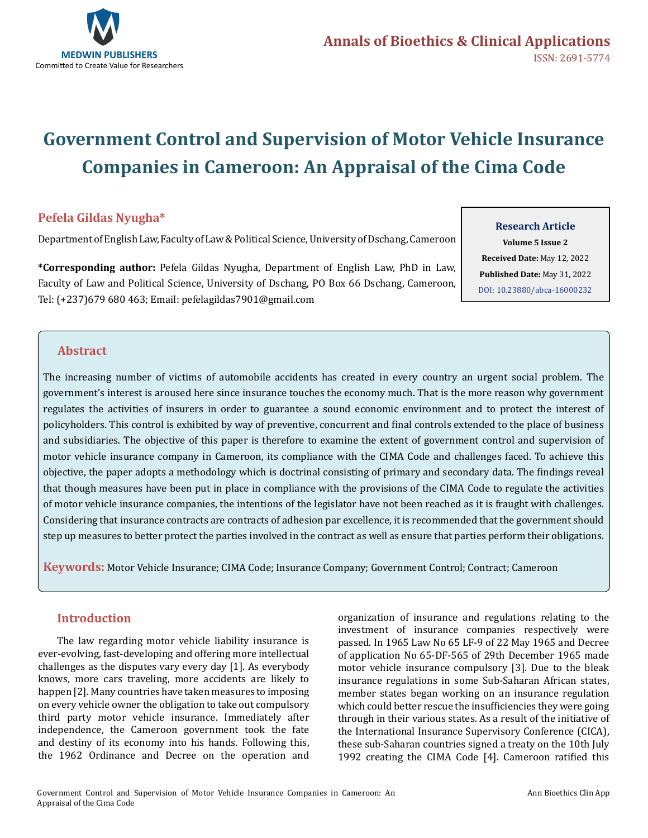

# **Government Control and Supervision of Motor Vehicle Insurance Companies in Cameroon: An Appraisal of the Cima Code**

# **Pefela Gildas Nyugha\***

Department of English Law, Faculty of Law & Political Science, University of Dschang, Cameroon

**\*Corresponding author:** Pefela Gildas Nyugha, Department of English Law, PhD in Law, Faculty of Law and Political Science, University of Dschang, PO Box 66 Dschang, Cameroon, Tel: (+237)679 680 463; Email: pefelagildas7901@gmail.com

**Research Article**

**Volume 5 Issue 2 Received Date:** May 12, 2022 **Published Date:** May 31, 2022 [DOI: 10.23880/abca-16000232](https://doi.org/10.23880/abca-16000232)

# **Abstract**

The increasing number of victims of automobile accidents has created in every country an urgent social problem. The government's interest is aroused here since insurance touches the economy much. That is the more reason why government regulates the activities of insurers in order to guarantee a sound economic environment and to protect the interest of policyholders. This control is exhibited by way of preventive, concurrent and final controls extended to the place of business and subsidiaries. The objective of this paper is therefore to examine the extent of government control and supervision of motor vehicle insurance company in Cameroon, its compliance with the CIMA Code and challenges faced. To achieve this objective, the paper adopts a methodology which is doctrinal consisting of primary and secondary data. The findings reveal that though measures have been put in place in compliance with the provisions of the CIMA Code to regulate the activities of motor vehicle insurance companies, the intentions of the legislator have not been reached as it is fraught with challenges. Considering that insurance contracts are contracts of adhesion par excellence, it is recommended that the government should step up measures to better protect the parties involved in the contract as well as ensure that parties perform their obligations.

**Keywords:** Motor Vehicle Insurance; CIMA Code; Insurance Company; Government Control; Contract; Cameroon

# **Introduction**

The law regarding motor vehicle liability insurance is ever-evolving, fast-developing and offering more intellectual challenges as the disputes vary every day [1]. As everybody knows, more cars traveling, more accidents are likely to happen [2]. Many countries have taken measures to imposing on every vehicle owner the obligation to take out compulsory third party motor vehicle insurance. Immediately after independence, the Cameroon government took the fate and destiny of its economy into his hands. Following this, the 1962 Ordinance and Decree on the operation and

organization of insurance and regulations relating to the investment of insurance companies respectively were passed. In 1965 Law No 65 LF-9 of 22 May 1965 and Decree of application No 65-DF-565 of 29th December 1965 made motor vehicle insurance compulsory [3]. Due to the bleak insurance regulations in some Sub-Saharan African states, member states began working on an insurance regulation which could better rescue the insufficiencies they were going through in their various states. As a result of the initiative of the International Insurance Supervisory Conference (CICA), these sub-Saharan countries signed a treaty on the 10th July 1992 creating the CIMA Code [4]. Cameroon ratified this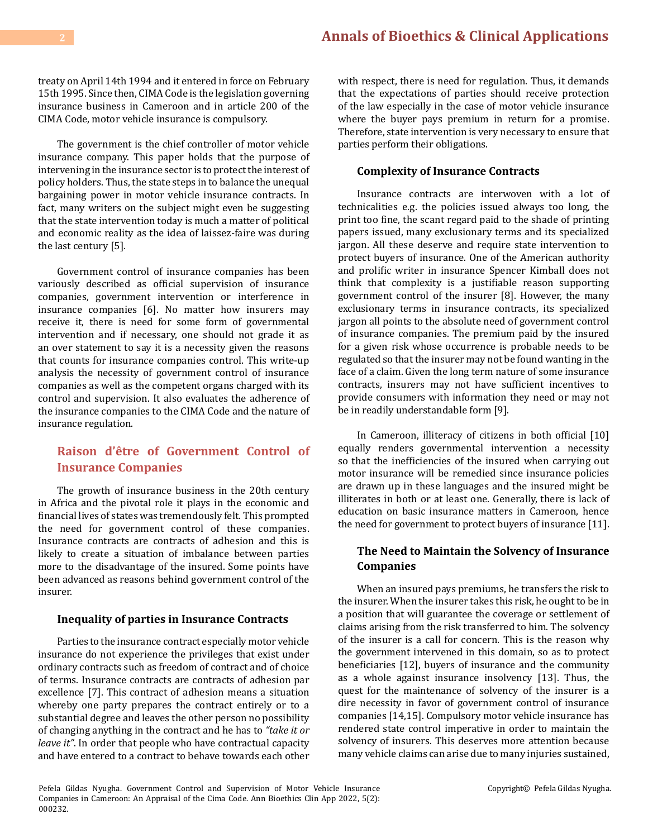treaty on April 14th 1994 and it entered in force on February 15th 1995. Since then, CIMA Code is the legislation governing insurance business in Cameroon and in article 200 of the CIMA Code, motor vehicle insurance is compulsory.

The government is the chief controller of motor vehicle insurance company. This paper holds that the purpose of intervening in the insurance sector is to protect the interest of policy holders. Thus, the state steps in to balance the unequal bargaining power in motor vehicle insurance contracts. In fact, many writers on the subject might even be suggesting that the state intervention today is much a matter of political and economic reality as the idea of laissez-faire was during the last century [5].

Government control of insurance companies has been variously described as official supervision of insurance companies, government intervention or interference in insurance companies [6]. No matter how insurers may receive it, there is need for some form of governmental intervention and if necessary, one should not grade it as an over statement to say it is a necessity given the reasons that counts for insurance companies control. This write-up analysis the necessity of government control of insurance companies as well as the competent organs charged with its control and supervision. It also evaluates the adherence of the insurance companies to the CIMA Code and the nature of insurance regulation.

# **Raison d'être of Government Control of Insurance Companies**

The growth of insurance business in the 20th century in Africa and the pivotal role it plays in the economic and financial lives of states was tremendously felt. This prompted the need for government control of these companies. Insurance contracts are contracts of adhesion and this is likely to create a situation of imbalance between parties more to the disadvantage of the insured. Some points have been advanced as reasons behind government control of the insurer.

## **Inequality of parties in Insurance Contracts**

Parties to the insurance contract especially motor vehicle insurance do not experience the privileges that exist under ordinary contracts such as freedom of contract and of choice of terms. Insurance contracts are contracts of adhesion par excellence [7]. This contract of adhesion means a situation whereby one party prepares the contract entirely or to a substantial degree and leaves the other person no possibility of changing anything in the contract and he has to *"take it or leave it"*. In order that people who have contractual capacity and have entered to a contract to behave towards each other

with respect, there is need for regulation. Thus, it demands that the expectations of parties should receive protection of the law especially in the case of motor vehicle insurance where the buyer pays premium in return for a promise. Therefore, state intervention is very necessary to ensure that parties perform their obligations.

#### **Complexity of Insurance Contracts**

Insurance contracts are interwoven with a lot of technicalities e.g. the policies issued always too long, the print too fine, the scant regard paid to the shade of printing papers issued, many exclusionary terms and its specialized jargon. All these deserve and require state intervention to protect buyers of insurance. One of the American authority and prolific writer in insurance Spencer Kimball does not think that complexity is a justifiable reason supporting government control of the insurer [8]. However, the many exclusionary terms in insurance contracts, its specialized jargon all points to the absolute need of government control of insurance companies. The premium paid by the insured for a given risk whose occurrence is probable needs to be regulated so that the insurer may not be found wanting in the face of a claim. Given the long term nature of some insurance contracts, insurers may not have sufficient incentives to provide consumers with information they need or may not be in readily understandable form [9].

In Cameroon, illiteracy of citizens in both official [10] equally renders governmental intervention a necessity so that the inefficiencies of the insured when carrying out motor insurance will be remedied since insurance policies are drawn up in these languages and the insured might be illiterates in both or at least one. Generally, there is lack of education on basic insurance matters in Cameroon, hence the need for government to protect buyers of insurance [11].

# **The Need to Maintain the Solvency of Insurance Companies**

When an insured pays premiums, he transfers the risk to the insurer. When the insurer takes this risk, he ought to be in a position that will guarantee the coverage or settlement of claims arising from the risk transferred to him. The solvency of the insurer is a call for concern. This is the reason why the government intervened in this domain, so as to protect beneficiaries [12], buyers of insurance and the community as a whole against insurance insolvency [13]. Thus, the quest for the maintenance of solvency of the insurer is a dire necessity in favor of government control of insurance companies [14,15]. Compulsory motor vehicle insurance has rendered state control imperative in order to maintain the solvency of insurers. This deserves more attention because many vehicle claims can arise due to many injuries sustained,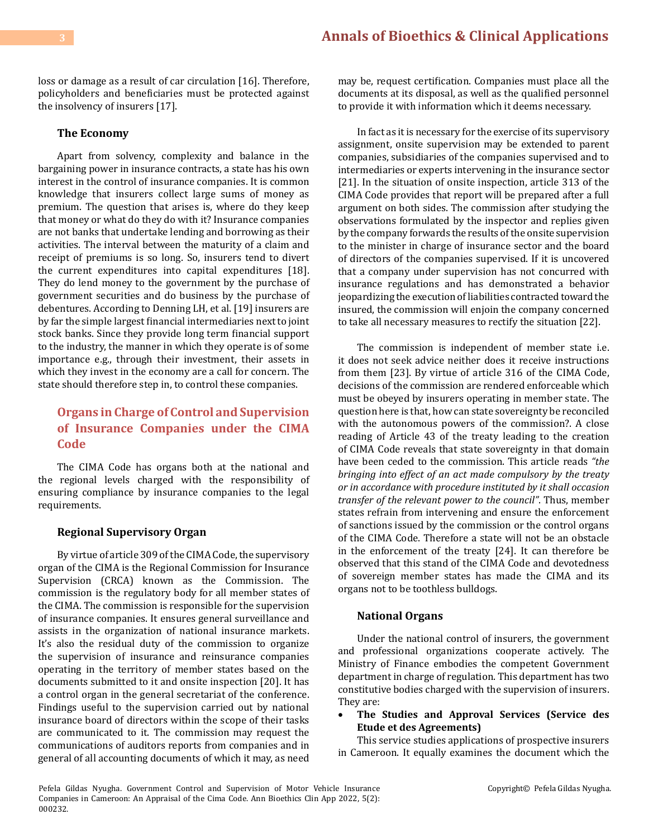loss or damage as a result of car circulation [16]. Therefore, policyholders and beneficiaries must be protected against the insolvency of insurers [17].

#### **The Economy**

Apart from solvency, complexity and balance in the bargaining power in insurance contracts, a state has his own interest in the control of insurance companies. It is common knowledge that insurers collect large sums of money as premium. The question that arises is, where do they keep that money or what do they do with it? Insurance companies are not banks that undertake lending and borrowing as their activities. The interval between the maturity of a claim and receipt of premiums is so long. So, insurers tend to divert the current expenditures into capital expenditures [18]. They do lend money to the government by the purchase of government securities and do business by the purchase of debentures. According to Denning LH, et al. [19] insurers are by far the simple largest financial intermediaries next to joint stock banks. Since they provide long term financial support to the industry, the manner in which they operate is of some importance e.g., through their investment, their assets in which they invest in the economy are a call for concern. The state should therefore step in, to control these companies.

# **Organs in Charge of Control and Supervision of Insurance Companies under the CIMA Code**

The CIMA Code has organs both at the national and the regional levels charged with the responsibility of ensuring compliance by insurance companies to the legal requirements.

#### **Regional Supervisory Organ**

By virtue of article 309 of the CIMA Code, the supervisory organ of the CIMA is the Regional Commission for Insurance Supervision (CRCA) known as the Commission. The commission is the regulatory body for all member states of the CIMA. The commission is responsible for the supervision of insurance companies. It ensures general surveillance and assists in the organization of national insurance markets. It's also the residual duty of the commission to organize the supervision of insurance and reinsurance companies operating in the territory of member states based on the documents submitted to it and onsite inspection [20]. It has a control organ in the general secretariat of the conference. Findings useful to the supervision carried out by national insurance board of directors within the scope of their tasks are communicated to it. The commission may request the communications of auditors reports from companies and in general of all accounting documents of which it may, as need

may be, request certification. Companies must place all the documents at its disposal, as well as the qualified personnel to provide it with information which it deems necessary.

In fact as it is necessary for the exercise of its supervisory assignment, onsite supervision may be extended to parent companies, subsidiaries of the companies supervised and to intermediaries or experts intervening in the insurance sector [21]. In the situation of onsite inspection, article 313 of the CIMA Code provides that report will be prepared after a full argument on both sides. The commission after studying the observations formulated by the inspector and replies given by the company forwards the results of the onsite supervision to the minister in charge of insurance sector and the board of directors of the companies supervised. If it is uncovered that a company under supervision has not concurred with insurance regulations and has demonstrated a behavior jeopardizing the execution of liabilities contracted toward the insured, the commission will enjoin the company concerned to take all necessary measures to rectify the situation [22].

The commission is independent of member state i.e. it does not seek advice neither does it receive instructions from them [23]. By virtue of article 316 of the CIMA Code, decisions of the commission are rendered enforceable which must be obeyed by insurers operating in member state. The question here is that, how can state sovereignty be reconciled with the autonomous powers of the commission?. A close reading of Article 43 of the treaty leading to the creation of CIMA Code reveals that state sovereignty in that domain have been ceded to the commission. This article reads *"the bringing into effect of an act made compulsory by the treaty or in accordance with procedure instituted by it shall occasion transfer of the relevant power to the council"*. Thus, member states refrain from intervening and ensure the enforcement of sanctions issued by the commission or the control organs of the CIMA Code. Therefore a state will not be an obstacle in the enforcement of the treaty [24]. It can therefore be observed that this stand of the CIMA Code and devotedness of sovereign member states has made the CIMA and its organs not to be toothless bulldogs.

#### **National Organs**

Under the national control of insurers, the government and professional organizations cooperate actively. The Ministry of Finance embodies the competent Government department in charge of regulation. This department has two constitutive bodies charged with the supervision of insurers. They are:

The Studies and Approval Services (Service des **Etude et des Agreements)**

This service studies applications of prospective insurers in Cameroon. It equally examines the document which the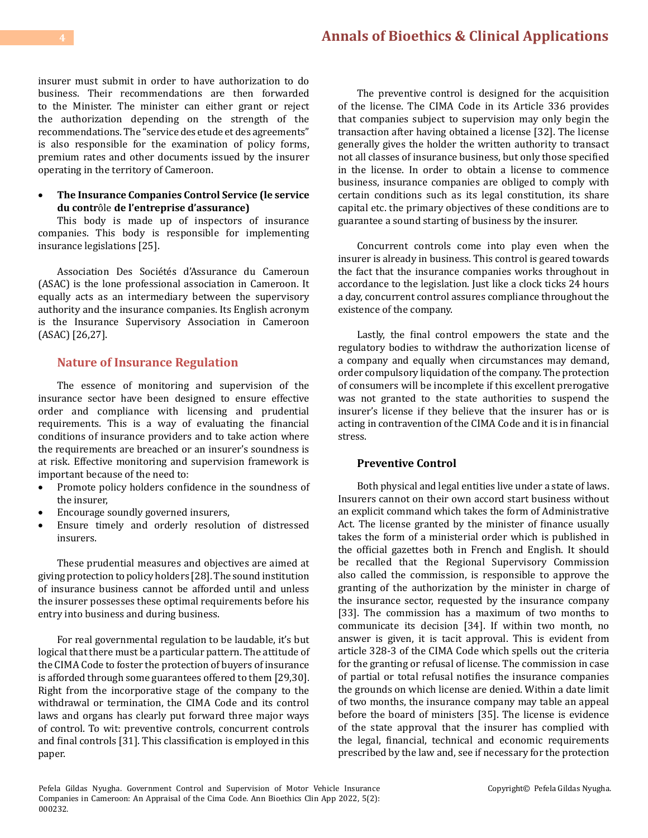insurer must submit in order to have authorization to do business. Their recommendations are then forwarded to the Minister. The minister can either grant or reject the authorization depending on the strength of the recommendations. The "service des etude et des agreements" is also responsible for the examination of policy forms, premium rates and other documents issued by the insurer operating in the territory of Cameroon.

#### • **The Insurance Companies Control Service (le service du contr**ôle **de l'entreprise d'assurance)**

This body is made up of inspectors of insurance companies. This body is responsible for implementing insurance legislations [25].

Association Des Sociétés d'Assurance du Cameroun (ASAC) is the lone professional association in Cameroon. It equally acts as an intermediary between the supervisory authority and the insurance companies. Its English acronym is the Insurance Supervisory Association in Cameroon (ASAC) [26,27].

# **Nature of Insurance Regulation**

The essence of monitoring and supervision of the insurance sector have been designed to ensure effective order and compliance with licensing and prudential requirements. This is a way of evaluating the financial conditions of insurance providers and to take action where the requirements are breached or an insurer's soundness is at risk. Effective monitoring and supervision framework is important because of the need to:<br>• Promote policy holders confident

- Promote policy holders confidence in the soundness of the insurer,
- Encourage soundly governed insurers,
- Ensure timely and orderly resolution of distressed insurers.

These prudential measures and objectives are aimed at giving protection to policy holders [28]. The sound institution of insurance business cannot be afforded until and unless the insurer possesses these optimal requirements before his entry into business and during business.

For real governmental regulation to be laudable, it's but logical that there must be a particular pattern. The attitude of the CIMA Code to foster the protection of buyers of insurance is afforded through some guarantees offered to them [29,30]. Right from the incorporative stage of the company to the withdrawal or termination, the CIMA Code and its control laws and organs has clearly put forward three major ways of control. To wit: preventive controls, concurrent controls and final controls [31]. This classification is employed in this paper.

The preventive control is designed for the acquisition of the license. The CIMA Code in its Article 336 provides that companies subject to supervision may only begin the transaction after having obtained a license [32]. The license generally gives the holder the written authority to transact not all classes of insurance business, but only those specified in the license. In order to obtain a license to commence business, insurance companies are obliged to comply with certain conditions such as its legal constitution, its share capital etc. the primary objectives of these conditions are to guarantee a sound starting of business by the insurer.

Concurrent controls come into play even when the insurer is already in business. This control is geared towards the fact that the insurance companies works throughout in accordance to the legislation. Just like a clock ticks 24 hours a day, concurrent control assures compliance throughout the existence of the company.

Lastly, the final control empowers the state and the regulatory bodies to withdraw the authorization license of a company and equally when circumstances may demand, order compulsory liquidation of the company. The protection of consumers will be incomplete if this excellent prerogative was not granted to the state authorities to suspend the insurer's license if they believe that the insurer has or is acting in contravention of the CIMA Code and it is in financial stress.

## **Preventive Control**

Both physical and legal entities live under a state of laws. Insurers cannot on their own accord start business without an explicit command which takes the form of Administrative Act. The license granted by the minister of finance usually takes the form of a ministerial order which is published in the official gazettes both in French and English. It should be recalled that the Regional Supervisory Commission also called the commission, is responsible to approve the granting of the authorization by the minister in charge of the insurance sector, requested by the insurance company [33]. The commission has a maximum of two months to communicate its decision [34]. If within two month, no answer is given, it is tacit approval. This is evident from article 328-3 of the CIMA Code which spells out the criteria for the granting or refusal of license. The commission in case of partial or total refusal notifies the insurance companies the grounds on which license are denied. Within a date limit of two months, the insurance company may table an appeal before the board of ministers [35]. The license is evidence of the state approval that the insurer has complied with the legal, financial, technical and economic requirements prescribed by the law and, see if necessary for the protection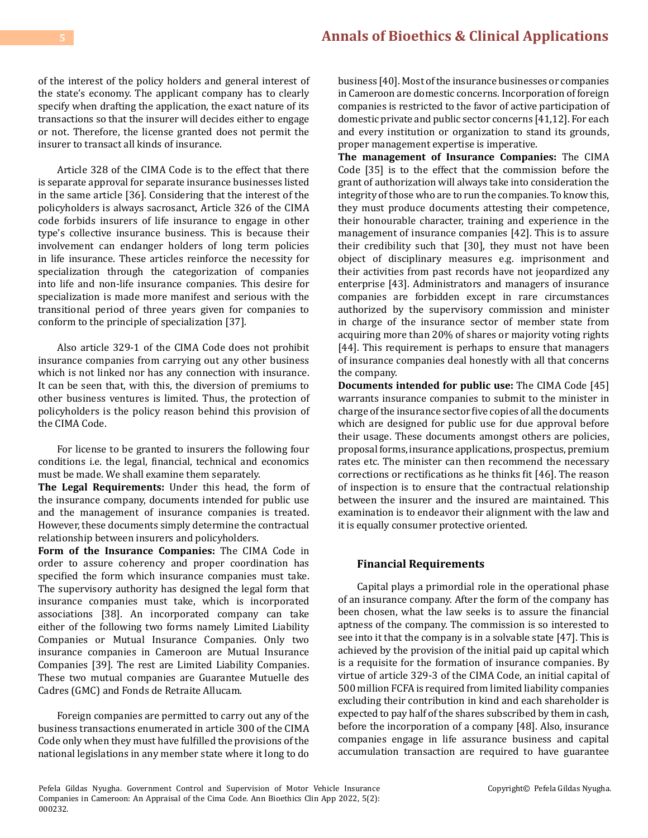of the interest of the policy holders and general interest of the state's economy. The applicant company has to clearly specify when drafting the application, the exact nature of its transactions so that the insurer will decides either to engage or not. Therefore, the license granted does not permit the insurer to transact all kinds of insurance.

Article 328 of the CIMA Code is to the effect that there is separate approval for separate insurance businesses listed in the same article [36]. Considering that the interest of the policyholders is always sacrosanct, Article 326 of the CIMA code forbids insurers of life insurance to engage in other type's collective insurance business. This is because their involvement can endanger holders of long term policies in life insurance. These articles reinforce the necessity for specialization through the categorization of companies into life and non-life insurance companies. This desire for specialization is made more manifest and serious with the transitional period of three years given for companies to conform to the principle of specialization [37].

Also article 329-1 of the CIMA Code does not prohibit insurance companies from carrying out any other business which is not linked nor has any connection with insurance. It can be seen that, with this, the diversion of premiums to other business ventures is limited. Thus, the protection of policyholders is the policy reason behind this provision of the CIMA Code.

For license to be granted to insurers the following four conditions i.e. the legal, financial, technical and economics must be made. We shall examine them separately.

**The Legal Requirements:** Under this head, the form of the insurance company, documents intended for public use and the management of insurance companies is treated. However, these documents simply determine the contractual relationship between insurers and policyholders.

**Form of the Insurance Companies:** The CIMA Code in order to assure coherency and proper coordination has specified the form which insurance companies must take. The supervisory authority has designed the legal form that insurance companies must take, which is incorporated associations [38]. An incorporated company can take either of the following two forms namely Limited Liability Companies or Mutual Insurance Companies. Only two insurance companies in Cameroon are Mutual Insurance Companies [39]. The rest are Limited Liability Companies. These two mutual companies are Guarantee Mutuelle des Cadres (GMC) and Fonds de Retraite Allucam.

Foreign companies are permitted to carry out any of the business transactions enumerated in article 300 of the CIMA Code only when they must have fulfilled the provisions of the national legislations in any member state where it long to do

business [40]. Most of the insurance businesses or companies in Cameroon are domestic concerns. Incorporation of foreign companies is restricted to the favor of active participation of domestic private and public sector concerns [41,12]. For each and every institution or organization to stand its grounds, proper management expertise is imperative.

**The management of Insurance Companies:** The CIMA Code [35] is to the effect that the commission before the grant of authorization will always take into consideration the integrity of those who are to run the companies. To know this, they must produce documents attesting their competence, their honourable character, training and experience in the management of insurance companies [42]. This is to assure their credibility such that [30], they must not have been object of disciplinary measures e.g. imprisonment and their activities from past records have not jeopardized any enterprise [43]. Administrators and managers of insurance companies are forbidden except in rare circumstances authorized by the supervisory commission and minister in charge of the insurance sector of member state from acquiring more than 20% of shares or majority voting rights [44]. This requirement is perhaps to ensure that managers of insurance companies deal honestly with all that concerns the company.

**Documents intended for public use:** The CIMA Code [45] warrants insurance companies to submit to the minister in charge of the insurance sector five copies of all the documents which are designed for public use for due approval before their usage. These documents amongst others are policies, proposal forms, insurance applications, prospectus, premium rates etc. The minister can then recommend the necessary corrections or rectifications as he thinks fit [46]. The reason of inspection is to ensure that the contractual relationship between the insurer and the insured are maintained. This examination is to endeavor their alignment with the law and it is equally consumer protective oriented.

## **Financial Requirements**

Capital plays a primordial role in the operational phase of an insurance company. After the form of the company has been chosen, what the law seeks is to assure the financial aptness of the company. The commission is so interested to see into it that the company is in a solvable state [47]. This is achieved by the provision of the initial paid up capital which is a requisite for the formation of insurance companies. By virtue of article 329-3 of the CIMA Code, an initial capital of 500 million FCFA is required from limited liability companies excluding their contribution in kind and each shareholder is expected to pay half of the shares subscribed by them in cash, before the incorporation of a company [48]. Also, insurance companies engage in life assurance business and capital accumulation transaction are required to have guarantee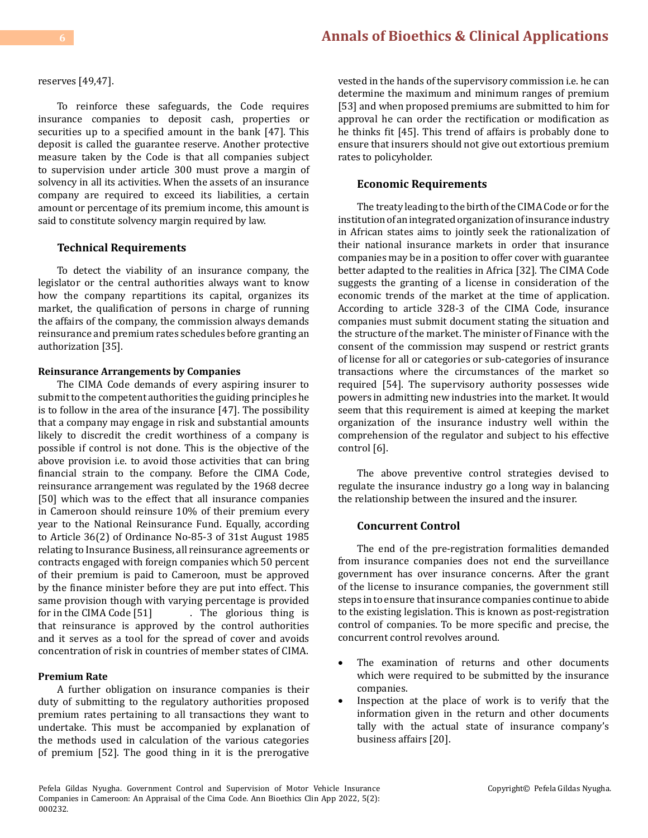# **6 [Annals of Bioethics & Clinical Applications](https://medwinpublishers.com/ABCA/)**

reserves [49,47].

To reinforce these safeguards, the Code requires insurance companies to deposit cash, properties or securities up to a specified amount in the bank [47]. This deposit is called the guarantee reserve. Another protective measure taken by the Code is that all companies subject to supervision under article 300 must prove a margin of solvency in all its activities. When the assets of an insurance company are required to exceed its liabilities, a certain amount or percentage of its premium income, this amount is said to constitute solvency margin required by law.

#### **Technical Requirements**

To detect the viability of an insurance company, the legislator or the central authorities always want to know how the company repartitions its capital, organizes its market, the qualification of persons in charge of running the affairs of the company, the commission always demands reinsurance and premium rates schedules before granting an authorization [35].

## **Reinsurance Arrangements by Companies**

The CIMA Code demands of every aspiring insurer to submit to the competent authorities the guiding principles he is to follow in the area of the insurance [47]. The possibility that a company may engage in risk and substantial amounts likely to discredit the credit worthiness of a company is possible if control is not done. This is the objective of the above provision i.e. to avoid those activities that can bring financial strain to the company. Before the CIMA Code, reinsurance arrangement was regulated by the 1968 decree [50] which was to the effect that all insurance companies in Cameroon should reinsure 10% of their premium every year to the National Reinsurance Fund. Equally, according to Article 36(2) of Ordinance No-85-3 of 31st August 1985 relating to Insurance Business, all reinsurance agreements or contracts engaged with foreign companies which 50 percent of their premium is paid to Cameroon, must be approved by the finance minister before they are put into effect. This same provision though with varying percentage is provided<br>for in the CIMA Code [51] [15]. The glorious thing is for in the experience is thing is that reinsurance is approved by the control authorities and it serves as a tool for the spread of cover and avoids concentration of risk in countries of member states of CIMA.

#### **Premium Rate**

A further obligation on insurance companies is their duty of submitting to the regulatory authorities proposed premium rates pertaining to all transactions they want to undertake. This must be accompanied by explanation of the methods used in calculation of the various categories of premium [52]. The good thing in it is the prerogative vested in the hands of the supervisory commission i.e. he can determine the maximum and minimum ranges of premium [53] and when proposed premiums are submitted to him for approval he can order the rectification or modification as he thinks fit [45]. This trend of affairs is probably done to ensure that insurers should not give out extortious premium rates to policyholder.

#### **Economic Requirements**

The treaty leading to the birth of the CIMA Code or for the institution of an integrated organization of insurance industry in African states aims to jointly seek the rationalization of their national insurance markets in order that insurance companies may be in a position to offer cover with guarantee better adapted to the realities in Africa [32]. The CIMA Code suggests the granting of a license in consideration of the economic trends of the market at the time of application. According to article 328-3 of the CIMA Code, insurance companies must submit document stating the situation and the structure of the market. The minister of Finance with the consent of the commission may suspend or restrict grants of license for all or categories or sub-categories of insurance transactions where the circumstances of the market so required [54]. The supervisory authority possesses wide powers in admitting new industries into the market. It would seem that this requirement is aimed at keeping the market organization of the insurance industry well within the comprehension of the regulator and subject to his effective control [6].

The above preventive control strategies devised to regulate the insurance industry go a long way in balancing the relationship between the insured and the insurer.

#### **Concurrent Control**

The end of the pre-registration formalities demanded from insurance companies does not end the surveillance government has over insurance concerns. After the grant of the license to insurance companies, the government still steps in to ensure that insurance companies continue to abide to the existing legislation. This is known as post-registration control of companies. To be more specific and precise, the concurrent control revolves around.

- • The examination of returns and other documents which were required to be submitted by the insurance companies.
- Inspection at the place of work is to verify that the information given in the return and other documents tally with the actual state of insurance company's business affairs [20].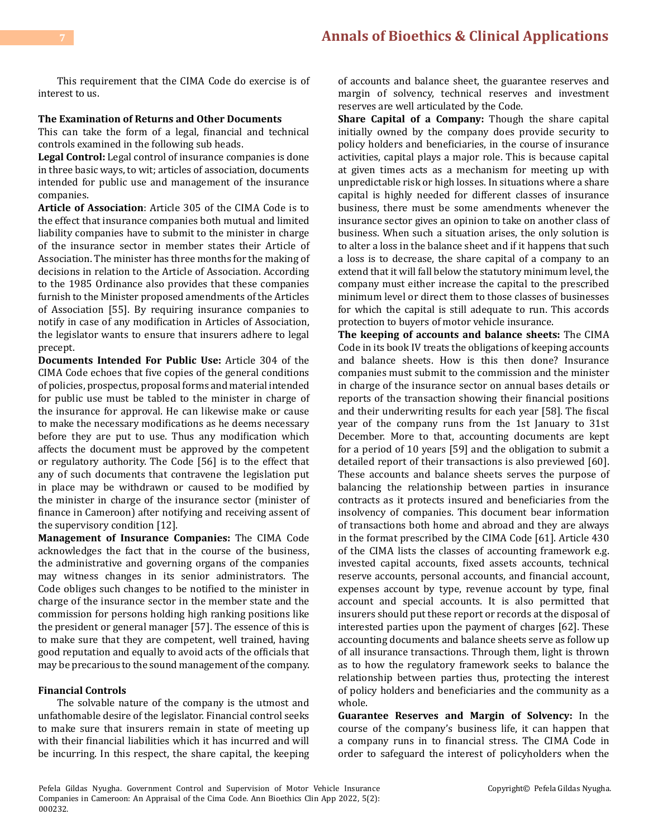This requirement that the CIMA Code do exercise is of interest to us.

## **The Examination of Returns and Other Documents**

This can take the form of a legal, financial and technical controls examined in the following sub heads.

**Legal Control:** Legal control of insurance companies is done in three basic ways, to wit; articles of association, documents intended for public use and management of the insurance companies.

**Article of Association**: Article 305 of the CIMA Code is to the effect that insurance companies both mutual and limited liability companies have to submit to the minister in charge of the insurance sector in member states their Article of Association. The minister has three months for the making of decisions in relation to the Article of Association. According to the 1985 Ordinance also provides that these companies furnish to the Minister proposed amendments of the Articles of Association [55]. By requiring insurance companies to notify in case of any modification in Articles of Association, the legislator wants to ensure that insurers adhere to legal precept.

**Documents Intended For Public Use:** Article 304 of the CIMA Code echoes that five copies of the general conditions of policies, prospectus, proposal forms and material intended for public use must be tabled to the minister in charge of the insurance for approval. He can likewise make or cause to make the necessary modifications as he deems necessary before they are put to use. Thus any modification which affects the document must be approved by the competent or regulatory authority. The Code [56] is to the effect that any of such documents that contravene the legislation put in place may be withdrawn or caused to be modified by the minister in charge of the insurance sector (minister of finance in Cameroon) after notifying and receiving assent of the supervisory condition [12].

**Management of Insurance Companies:** The CIMA Code acknowledges the fact that in the course of the business, the administrative and governing organs of the companies may witness changes in its senior administrators. The Code obliges such changes to be notified to the minister in charge of the insurance sector in the member state and the commission for persons holding high ranking positions like the president or general manager [57]. The essence of this is to make sure that they are competent, well trained, having good reputation and equally to avoid acts of the officials that may be precarious to the sound management of the company.

## **Financial Controls**

The solvable nature of the company is the utmost and unfathomable desire of the legislator. Financial control seeks to make sure that insurers remain in state of meeting up with their financial liabilities which it has incurred and will be incurring. In this respect, the share capital, the keeping

of accounts and balance sheet, the guarantee reserves and margin of solvency, technical reserves and investment reserves are well articulated by the Code.

**Share Capital of a Company:** Though the share capital initially owned by the company does provide security to policy holders and beneficiaries, in the course of insurance activities, capital plays a major role. This is because capital at given times acts as a mechanism for meeting up with unpredictable risk or high losses. In situations where a share capital is highly needed for different classes of insurance business, there must be some amendments whenever the insurance sector gives an opinion to take on another class of business. When such a situation arises, the only solution is to alter a loss in the balance sheet and if it happens that such a loss is to decrease, the share capital of a company to an extend that it will fall below the statutory minimum level, the company must either increase the capital to the prescribed minimum level or direct them to those classes of businesses for which the capital is still adequate to run. This accords protection to buyers of motor vehicle insurance.

**The keeping of accounts and balance sheets:** The CIMA Code in its book IV treats the obligations of keeping accounts and balance sheets. How is this then done? Insurance companies must submit to the commission and the minister in charge of the insurance sector on annual bases details or reports of the transaction showing their financial positions and their underwriting results for each year [58]. The fiscal year of the company runs from the 1st January to 31st December. More to that, accounting documents are kept for a period of 10 years [59] and the obligation to submit a detailed report of their transactions is also previewed [60]. These accounts and balance sheets serves the purpose of balancing the relationship between parties in insurance contracts as it protects insured and beneficiaries from the insolvency of companies. This document bear information of transactions both home and abroad and they are always in the format prescribed by the CIMA Code [61]. Article 430 of the CIMA lists the classes of accounting framework e.g. invested capital accounts, fixed assets accounts, technical reserve accounts, personal accounts, and financial account, expenses account by type, revenue account by type, final account and special accounts. It is also permitted that insurers should put these report or records at the disposal of interested parties upon the payment of charges [62]. These accounting documents and balance sheets serve as follow up of all insurance transactions. Through them, light is thrown as to how the regulatory framework seeks to balance the relationship between parties thus, protecting the interest of policy holders and beneficiaries and the community as a whole.

**Guarantee Reserves and Margin of Solvency:** In the course of the company's business life, it can happen that a company runs in to financial stress. The CIMA Code in order to safeguard the interest of policyholders when the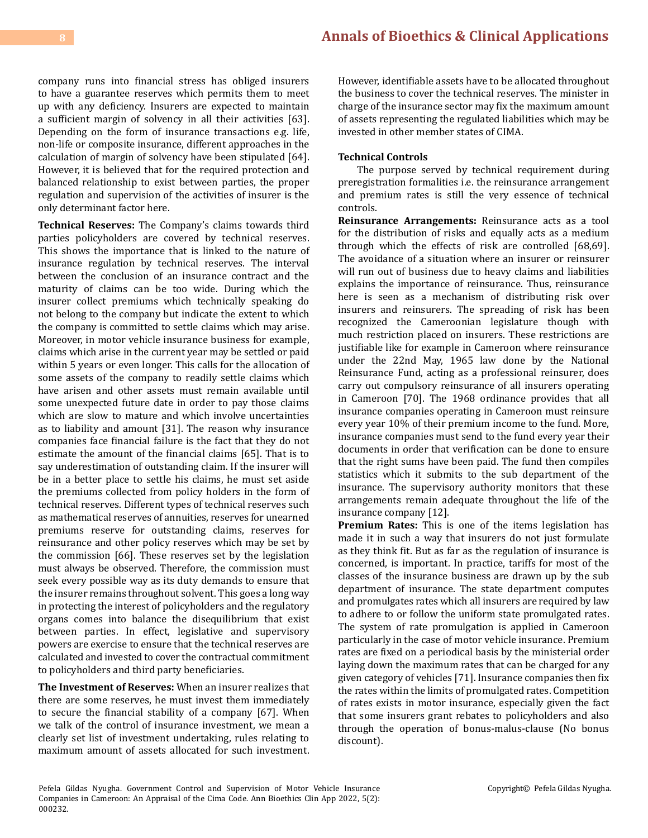company runs into financial stress has obliged insurers to have a guarantee reserves which permits them to meet up with any deficiency. Insurers are expected to maintain a sufficient margin of solvency in all their activities [63]. Depending on the form of insurance transactions e.g. life, non-life or composite insurance, different approaches in the calculation of margin of solvency have been stipulated [64]. However, it is believed that for the required protection and balanced relationship to exist between parties, the proper regulation and supervision of the activities of insurer is the only determinant factor here.

**Technical Reserves:** The Company's claims towards third parties policyholders are covered by technical reserves. This shows the importance that is linked to the nature of insurance regulation by technical reserves. The interval between the conclusion of an insurance contract and the maturity of claims can be too wide. During which the insurer collect premiums which technically speaking do not belong to the company but indicate the extent to which the company is committed to settle claims which may arise. Moreover, in motor vehicle insurance business for example, claims which arise in the current year may be settled or paid within 5 years or even longer. This calls for the allocation of some assets of the company to readily settle claims which have arisen and other assets must remain available until some unexpected future date in order to pay those claims which are slow to mature and which involve uncertainties as to liability and amount [31]. The reason why insurance companies face financial failure is the fact that they do not estimate the amount of the financial claims [65]. That is to say underestimation of outstanding claim. If the insurer will be in a better place to settle his claims, he must set aside the premiums collected from policy holders in the form of technical reserves. Different types of technical reserves such as mathematical reserves of annuities, reserves for unearned premiums reserve for outstanding claims, reserves for reinsurance and other policy reserves which may be set by the commission [66]. These reserves set by the legislation must always be observed. Therefore, the commission must seek every possible way as its duty demands to ensure that the insurer remains throughout solvent. This goes a long way in protecting the interest of policyholders and the regulatory organs comes into balance the disequilibrium that exist between parties. In effect, legislative and supervisory powers are exercise to ensure that the technical reserves are calculated and invested to cover the contractual commitment to policyholders and third party beneficiaries.

**The Investment of Reserves:** When an insurer realizes that there are some reserves, he must invest them immediately to secure the financial stability of a company [67]. When we talk of the control of insurance investment, we mean a clearly set list of investment undertaking, rules relating to maximum amount of assets allocated for such investment. However, identifiable assets have to be allocated throughout the business to cover the technical reserves. The minister in charge of the insurance sector may fix the maximum amount of assets representing the regulated liabilities which may be invested in other member states of CIMA.

#### **Technical Controls**

The purpose served by technical requirement during preregistration formalities i.e. the reinsurance arrangement and premium rates is still the very essence of technical controls.

**Reinsurance Arrangements:** Reinsurance acts as a tool for the distribution of risks and equally acts as a medium through which the effects of risk are controlled [68,69]. The avoidance of a situation where an insurer or reinsurer will run out of business due to heavy claims and liabilities explains the importance of reinsurance. Thus, reinsurance here is seen as a mechanism of distributing risk over insurers and reinsurers. The spreading of risk has been recognized the Cameroonian legislature though with much restriction placed on insurers. These restrictions are justifiable like for example in Cameroon where reinsurance under the 22nd May, 1965 law done by the National Reinsurance Fund, acting as a professional reinsurer, does carry out compulsory reinsurance of all insurers operating in Cameroon [70]. The 1968 ordinance provides that all insurance companies operating in Cameroon must reinsure every year 10% of their premium income to the fund. More, insurance companies must send to the fund every year their documents in order that verification can be done to ensure that the right sums have been paid. The fund then compiles statistics which it submits to the sub department of the insurance. The supervisory authority monitors that these arrangements remain adequate throughout the life of the insurance company [12].

**Premium Rates:** This is one of the items legislation has made it in such a way that insurers do not just formulate as they think fit. But as far as the regulation of insurance is concerned, is important. In practice, tariffs for most of the classes of the insurance business are drawn up by the sub department of insurance. The state department computes and promulgates rates which all insurers are required by law to adhere to or follow the uniform state promulgated rates. The system of rate promulgation is applied in Cameroon particularly in the case of motor vehicle insurance. Premium rates are fixed on a periodical basis by the ministerial order laying down the maximum rates that can be charged for any given category of vehicles [71]. Insurance companies then fix the rates within the limits of promulgated rates. Competition of rates exists in motor insurance, especially given the fact that some insurers grant rebates to policyholders and also through the operation of bonus-malus-clause (No bonus discount).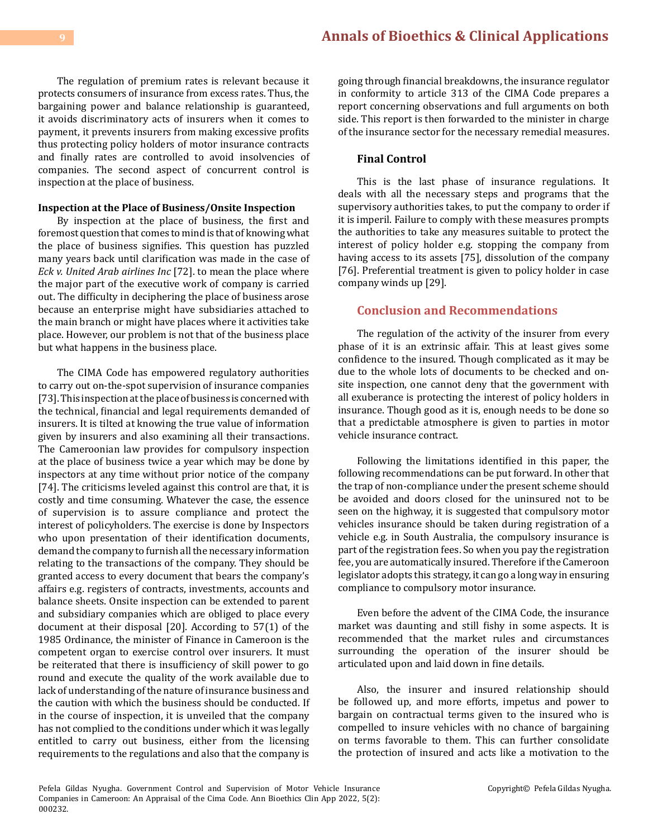The regulation of premium rates is relevant because it protects consumers of insurance from excess rates. Thus, the bargaining power and balance relationship is guaranteed, it avoids discriminatory acts of insurers when it comes to payment, it prevents insurers from making excessive profits thus protecting policy holders of motor insurance contracts and finally rates are controlled to avoid insolvencies of companies. The second aspect of concurrent control is inspection at the place of business.

#### **Inspection at the Place of Business/Onsite Inspection**

By inspection at the place of business, the first and foremost question that comes to mind is that of knowing what the place of business signifies. This question has puzzled many years back until clarification was made in the case of *Eck v. United Arab airlines Inc* [72]. to mean the place where the major part of the executive work of company is carried out. The difficulty in deciphering the place of business arose because an enterprise might have subsidiaries attached to the main branch or might have places where it activities take place. However, our problem is not that of the business place but what happens in the business place.

The CIMA Code has empowered regulatory authorities to carry out on-the-spot supervision of insurance companies [73]. This inspection at the place of business is concerned with the technical, financial and legal requirements demanded of insurers. It is tilted at knowing the true value of information given by insurers and also examining all their transactions. The Cameroonian law provides for compulsory inspection at the place of business twice a year which may be done by inspectors at any time without prior notice of the company [74]. The criticisms leveled against this control are that, it is costly and time consuming. Whatever the case, the essence of supervision is to assure compliance and protect the interest of policyholders. The exercise is done by Inspectors who upon presentation of their identification documents, demand the company to furnish all the necessary information relating to the transactions of the company. They should be granted access to every document that bears the company's affairs e.g. registers of contracts, investments, accounts and balance sheets. Onsite inspection can be extended to parent and subsidiary companies which are obliged to place every document at their disposal [20]. According to 57(1) of the 1985 Ordinance, the minister of Finance in Cameroon is the competent organ to exercise control over insurers. It must be reiterated that there is insufficiency of skill power to go round and execute the quality of the work available due to lack of understanding of the nature of insurance business and the caution with which the business should be conducted. If in the course of inspection, it is unveiled that the company has not complied to the conditions under which it was legally entitled to carry out business, either from the licensing requirements to the regulations and also that the company is

going through financial breakdowns, the insurance regulator in conformity to article 313 of the CIMA Code prepares a report concerning observations and full arguments on both side. This report is then forwarded to the minister in charge of the insurance sector for the necessary remedial measures.

#### **Final Control**

This is the last phase of insurance regulations. It deals with all the necessary steps and programs that the supervisory authorities takes, to put the company to order if it is imperil. Failure to comply with these measures prompts the authorities to take any measures suitable to protect the interest of policy holder e.g. stopping the company from having access to its assets [75], dissolution of the company [76]. Preferential treatment is given to policy holder in case company winds up [29].

# **Conclusion and Recommendations**

The regulation of the activity of the insurer from every phase of it is an extrinsic affair. This at least gives some confidence to the insured. Though complicated as it may be due to the whole lots of documents to be checked and onsite inspection, one cannot deny that the government with all exuberance is protecting the interest of policy holders in insurance. Though good as it is, enough needs to be done so that a predictable atmosphere is given to parties in motor vehicle insurance contract.

Following the limitations identified in this paper, the following recommendations can be put forward. In other that the trap of non-compliance under the present scheme should be avoided and doors closed for the uninsured not to be seen on the highway, it is suggested that compulsory motor vehicles insurance should be taken during registration of a vehicle e.g. in South Australia, the compulsory insurance is part of the registration fees. So when you pay the registration fee, you are automatically insured. Therefore if the Cameroon legislator adopts this strategy, it can go a long way in ensuring compliance to compulsory motor insurance.

Even before the advent of the CIMA Code, the insurance market was daunting and still fishy in some aspects. It is recommended that the market rules and circumstances surrounding the operation of the insurer should be articulated upon and laid down in fine details.

Also, the insurer and insured relationship should be followed up, and more efforts, impetus and power to bargain on contractual terms given to the insured who is compelled to insure vehicles with no chance of bargaining on terms favorable to them. This can further consolidate the protection of insured and acts like a motivation to the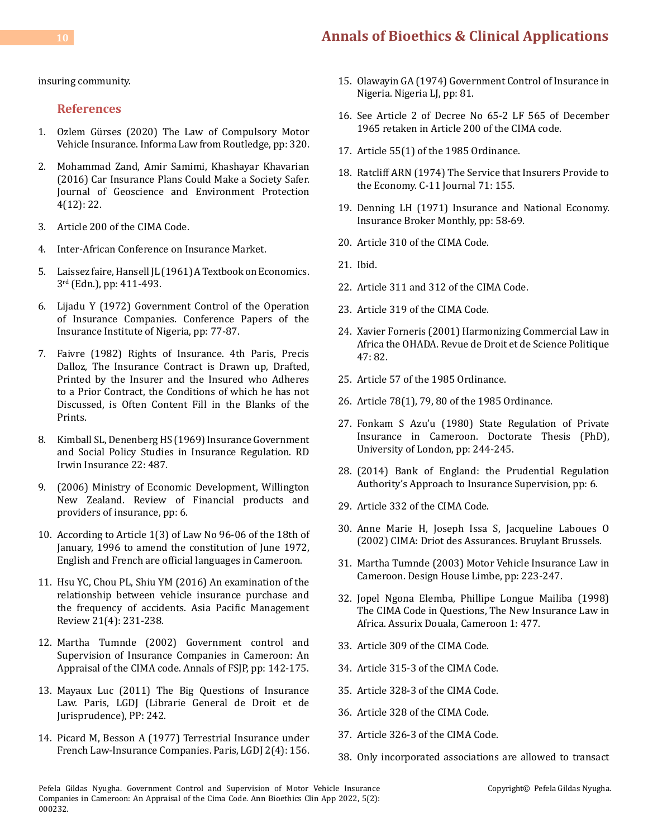# **10 [Annals of Bioethics & Clinical Applications](https://medwinpublishers.com/ABCA/)**

insuring community.

#### **References**

- 1. [Ozlem Gürses \(2020\) The Law of Compulsory Motor](https://www.routledge.com/The-Law-of-Compulsory-Motor-Vehicle-Insurance/Gurses/p/book/9781032177564) [Vehicle Insurance. Informa Law from Routledge, pp: 320.](https://www.routledge.com/The-Law-of-Compulsory-Motor-Vehicle-Insurance/Gurses/p/book/9781032177564)
- 2. [Mohammad Zand, Amir Samimi, Khashayar Khavarian](https://www.scirp.org/journal/paperinformation.aspx?paperid=72464) [\(2016\) Car Insurance Plans Could Make a Society Safer.](https://www.scirp.org/journal/paperinformation.aspx?paperid=72464) [Journal of Geoscience and Environment Protection](https://www.scirp.org/journal/paperinformation.aspx?paperid=72464) [4\(12\): 22.](https://www.scirp.org/journal/paperinformation.aspx?paperid=72464)
- 3. Article 200 of the CIMA Code.
- 4. [Inter-African Conference on Insurance Market.](https://uia.org/s/or/en/1100023698)
- 5. Laissez faire, Hansell JL (1961) A Textbook on Economics. 3rd (Edn.), pp: 411-493.
- 6. Lijadu Y (1972) Government Control of the Operation of Insurance Companies. Conference Papers of the Insurance Institute of Nigeria, pp: 77-87.
- 7. Faivre (1982) Rights of Insurance. 4th Paris, Precis Dalloz, The Insurance Contract is Drawn up, Drafted, Printed by the Insurer and the Insured who Adheres to a Prior Contract, the Conditions of which he has not Discussed, is Often Content Fill in the Blanks of the Prints.
- 8. [Kimball SL, Denenberg HS \(1969\) Insurance Government](https://searchworks.stanford.edu/view/1809214) [and Social Policy Studies in Insurance Regulation. RD](https://searchworks.stanford.edu/view/1809214) [Irwin Insurance 22: 487.](https://searchworks.stanford.edu/view/1809214)
- 9. (2006) Ministry of Economic Development, Willington New Zealand. Review of Financial products and providers of insurance, pp: 6.
- 10. According to Article 1(3) of Law No 96-06 of the 18th of January, 1996 to amend the constitution of June 1972, English and French are official languages in Cameroon.
- 11. [Hsu YC, Chou PL, Shiu YM \(2016\) An examination of the](https://www.sciencedirect.com/science/article/pii/S1029313216301762) [relationship between vehicle insurance purchase and](https://www.sciencedirect.com/science/article/pii/S1029313216301762) [the frequency of accidents. Asia Pacific Management](https://www.sciencedirect.com/science/article/pii/S1029313216301762) [Review 21\(4\): 231-238.](https://www.sciencedirect.com/science/article/pii/S1029313216301762)
- 12. Martha Tumnde (2002) Government control and Supervision of Insurance Companies in Cameroon: An Appraisal of the CIMA code. Annals of FSJP, pp: 142-175.
- 13. Mayaux Luc (2011) The Big Questions of Insurance Law. Paris, LGDJ (Librarie General de Droit et de Jurisprudence), PP: 242.
- 14. Picard M, Besson A (1977) Terrestrial Insurance under French Law-Insurance Companies. Paris, LGDJ 2(4): 156.
- 15. Olawayin GA (1974) Government Control of Insurance in Nigeria. Nigeria LJ, pp: 81.
- 16. See Article 2 of Decree No 65-2 LF 565 of December 1965 retaken in Article 200 of the CIMA code.
- 17. Article 55(1) of the 1985 Ordinance.
- 18. Ratcliff ARN (1974) The Service that Insurers Provide to the Economy. C-11 Journal 71: 155.
- 19. Denning LH (1971) Insurance and National Economy. Insurance Broker Monthly, pp: 58-69.
- 20. Article 310 of the CIMA Code.
- 21. Ibid.
- 22. Article 311 and 312 of the CIMA Code.
- 23. Article 319 of the CIMA Code.
- 24. Xavier Forneris (2001) Harmonizing Commercial Law in Africa the OHADA. Revue de Droit et de Science Politique 47: 82.
- 25. Article 57 of the 1985 Ordinance.
- 26. Article 78(1), 79, 80 of the 1985 Ordinance.
- 27. Fonkam S Azu'u (1980) State Regulation of Private Insurance in Cameroon. Doctorate Thesis (PhD), University of London, pp: 244-245.
- 28. (2014) Bank of England: the Prudential Regulation Authority's Approach to Insurance Supervision, pp: 6.
- 29. Article 332 of the CIMA Code.
- 30. Anne Marie H, Joseph Issa S, Jacqueline Laboues O (2002) CIMA: Driot des Assurances. Bruylant Brussels.
- 31. Martha Tumnde (2003) Motor Vehicle Insurance Law in Cameroon. Design House Limbe, pp: 223-247.
- 32. Jopel Ngona Elemba, Phillipe Longue Mailiba (1998) The CIMA Code in Questions, The New Insurance Law in Africa. Assurix Douala, Cameroon 1: 477.
- 33. Article 309 of the CIMA Code.
- 34. Article 315-3 of the CIMA Code.
- 35. Article 328-3 of the CIMA Code.
- 36. Article 328 of the CIMA Code.
- 37. Article 326-3 of the CIMA Code.
- 38. Only incorporated associations are allowed to transact